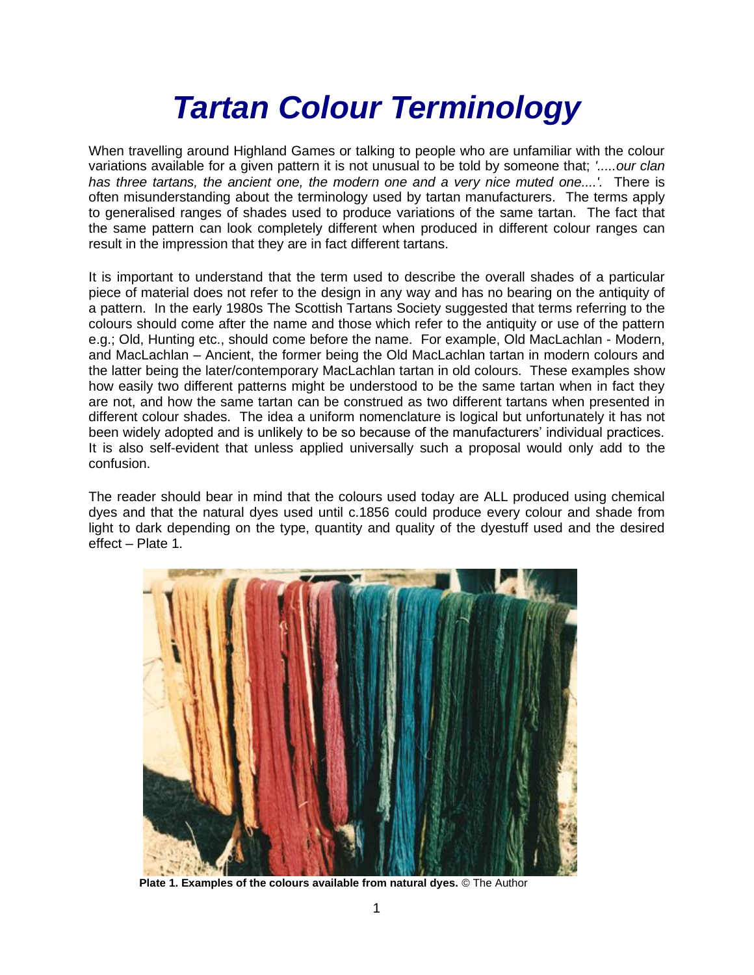# *Tartan Colour Terminology*

When travelling around Highland Games or talking to people who are unfamiliar with the colour variations available for a given pattern it is not unusual to be told by someone that; *'.....our clan has three tartans, the ancient one, the modern one and a very nice muted one....'.* There is often misunderstanding about the terminology used by tartan manufacturers. The terms apply to generalised ranges of shades used to produce variations of the same tartan. The fact that the same pattern can look completely different when produced in different colour ranges can result in the impression that they are in fact different tartans.

It is important to understand that the term used to describe the overall shades of a particular piece of material does not refer to the design in any way and has no bearing on the antiquity of a pattern. In the early 1980s The Scottish Tartans Society suggested that terms referring to the colours should come after the name and those which refer to the antiquity or use of the pattern e.g.; Old, Hunting etc., should come before the name. For example, Old MacLachlan - Modern, and MacLachlan – Ancient, the former being the Old MacLachlan tartan in modern colours and the latter being the later/contemporary MacLachlan tartan in old colours. These examples show how easily two different patterns might be understood to be the same tartan when in fact they are not, and how the same tartan can be construed as two different tartans when presented in different colour shades. The idea a uniform nomenclature is logical but unfortunately it has not been widely adopted and is unlikely to be so because of the manufacturers' individual practices. It is also self-evident that unless applied universally such a proposal would only add to the confusion.

The reader should bear in mind that the colours used today are ALL produced using chemical dyes and that the natural dyes used until c.1856 could produce every colour and shade from light to dark depending on the type, quantity and quality of the dyestuff used and the desired effect – Plate 1.



**Plate 1. Examples of the colours available from natural dyes.** © The Author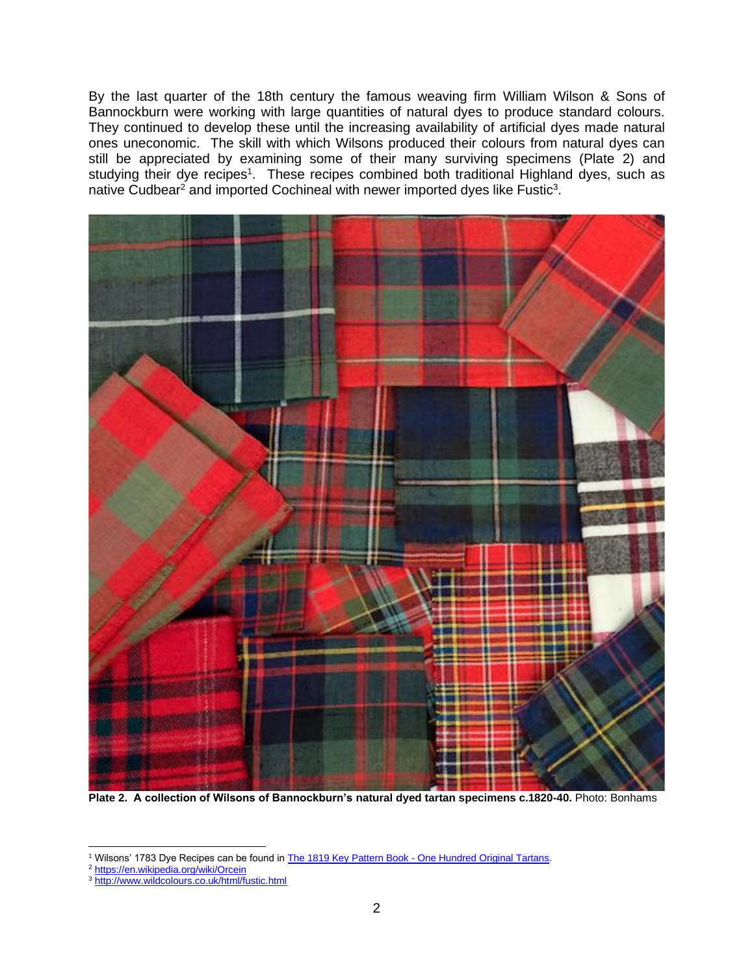By the last quarter of the 18th century the famous weaving firm William Wilson & Sons of Bannockburn were working with large quantities of natural dyes to produce standard colours. They continued to develop these until the increasing availability of artificial dyes made natural ones uneconomic. The skill with which Wilsons produced their colours from natural dyes can still be appreciated by examining some of their many surviving specimens (Plate 2) and studying their dye recipes<sup>1</sup>. These recipes combined both traditional Highland dyes, such as native Cudbear<sup>2</sup> and imported Cochineal with newer imported dyes like Fustic<sup>3</sup>.



**Plate 2. A collection of Wilsons of Bannockburn's natural dyed tartan specimens c.1820-40.** Photo: Bonhams

<sup>1</sup> Wilsons' 1783 Dye Recipes can be found in The 1819 Key Pattern Book - [One Hundred Original Tartans.](1819.htm)

<sup>2</sup> <https://en.wikipedia.org/wiki/Orcein>

<sup>3</sup> <http://www.wildcolours.co.uk/html/fustic.html>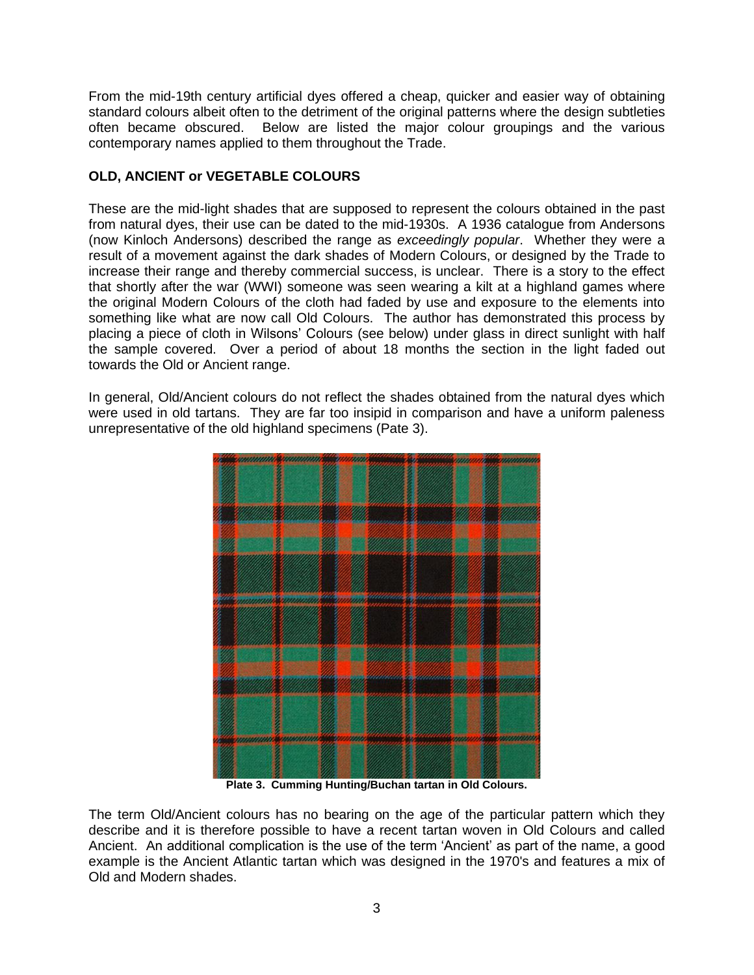From the mid-19th century artificial dyes offered a cheap, quicker and easier way of obtaining standard colours albeit often to the detriment of the original patterns where the design subtleties often became obscured. Below are listed the major colour groupings and the various contemporary names applied to them throughout the Trade.

# **OLD, ANCIENT or VEGETABLE COLOURS**

These are the mid-light shades that are supposed to represent the colours obtained in the past from natural dyes, their use can be dated to the mid-1930s. A 1936 catalogue from Andersons (now Kinloch Andersons) described the range as *exceedingly popular*. Whether they were a result of a movement against the dark shades of Modern Colours, or designed by the Trade to increase their range and thereby commercial success, is unclear. There is a story to the effect that shortly after the war (WWI) someone was seen wearing a kilt at a highland games where the original Modern Colours of the cloth had faded by use and exposure to the elements into something like what are now call Old Colours. The author has demonstrated this process by placing a piece of cloth in Wilsons' Colours (see below) under glass in direct sunlight with half the sample covered. Over a period of about 18 months the section in the light faded out towards the Old or Ancient range.

In general, Old/Ancient colours do not reflect the shades obtained from the natural dyes which were used in old tartans. They are far too insipid in comparison and have a uniform paleness unrepresentative of the old highland specimens (Pate 3).



**Plate 3. Cumming Hunting/Buchan tartan in Old Colours.**

The term Old/Ancient colours has no bearing on the age of the particular pattern which they describe and it is therefore possible to have a recent tartan woven in Old Colours and called Ancient. An additional complication is the use of the term 'Ancient' as part of the name, a good example is the Ancient Atlantic tartan which was designed in the 1970's and features a mix of Old and Modern shades.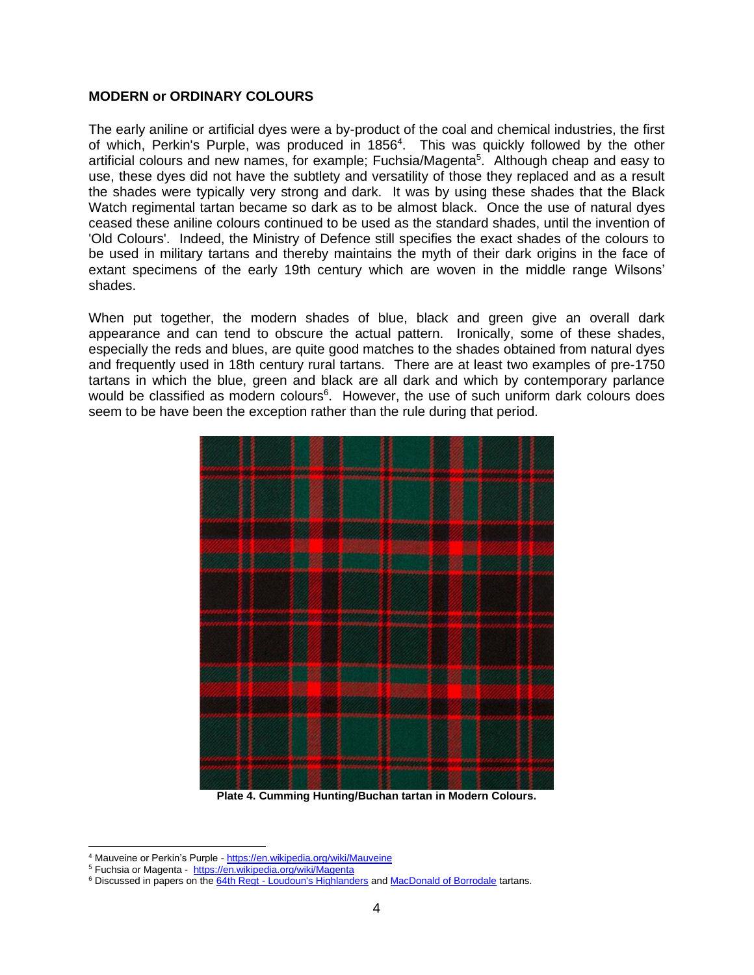#### **MODERN or ORDINARY COLOURS**

The early aniline or artificial dyes were a by-product of the coal and chemical industries, the first of which, Perkin's Purple, was produced in 1856<sup>4</sup>. This was quickly followed by the other artificial colours and new names, for example; Fuchsia/Magenta<sup>5</sup>. Although cheap and easy to use, these dyes did not have the subtlety and versatility of those they replaced and as a result the shades were typically very strong and dark. It was by using these shades that the Black Watch regimental tartan became so dark as to be almost black. Once the use of natural dyes ceased these aniline colours continued to be used as the standard shades, until the invention of 'Old Colours'. Indeed, the Ministry of Defence still specifies the exact shades of the colours to be used in military tartans and thereby maintains the myth of their dark origins in the face of extant specimens of the early 19th century which are woven in the middle range Wilsons' shades.

When put together, the modern shades of blue, black and green give an overall dark appearance and can tend to obscure the actual pattern. Ironically, some of these shades, especially the reds and blues, are quite good matches to the shades obtained from natural dyes and frequently used in 18th century rural tartans. There are at least two examples of pre-1750 tartans in which the blue, green and black are all dark and which by contemporary parlance would be classified as modern colours<sup>6</sup>. However, the use of such uniform dark colours does seem to be have been the exception rather than the rule during that period.



**Plate 4. Cumming Hunting/Buchan tartan in Modern Colours.**

<sup>4</sup> Mauveine or Perkin's Purple - <https://en.wikipedia.org/wiki/Mauveine>

<sup>&</sup>lt;sup>5</sup> Fuchsia or Magenta - <https://en.wikipedia.org/wiki/Magenta>

<sup>&</sup>lt;sup>6</sup> Discussed in papers on the 64th Regt - [Loudoun's Highlanders](https://www.scottishtartans.co.uk/64th_Regt_-_Loudon) and [MacDonald of Borrodale](https://www.scottishtartans.co.uk/MacDonald_of_Borrodale.pdf) tartans.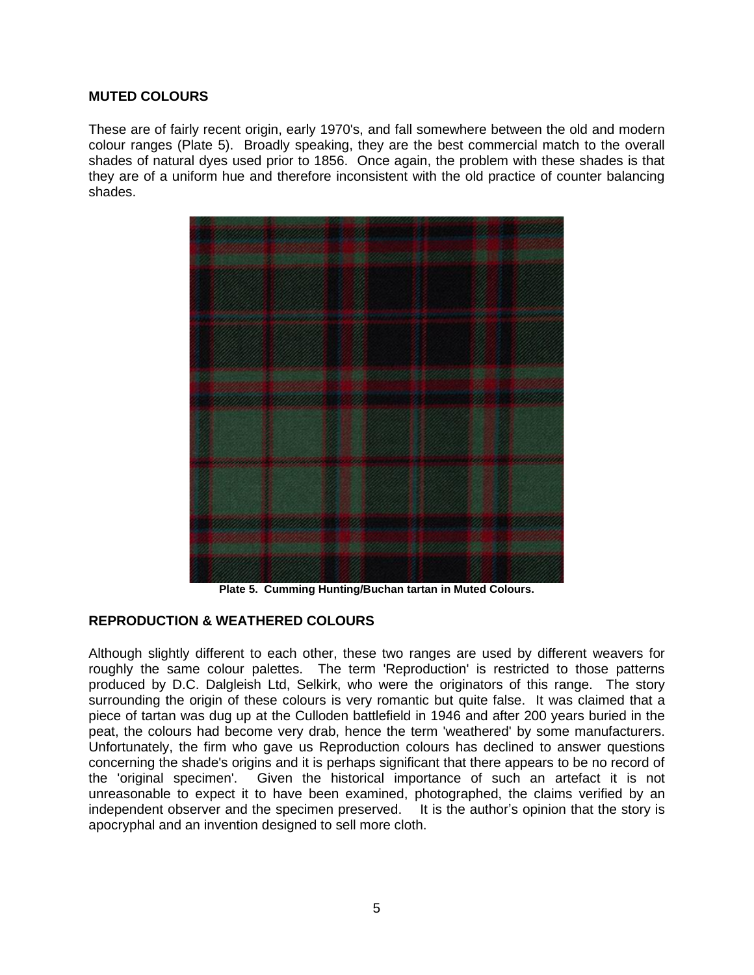#### **MUTED COLOURS**

These are of fairly recent origin, early 1970's, and fall somewhere between the old and modern colour ranges (Plate 5). Broadly speaking, they are the best commercial match to the overall shades of natural dyes used prior to 1856. Once again, the problem with these shades is that they are of a uniform hue and therefore inconsistent with the old practice of counter balancing shades.



**Plate 5. Cumming Hunting/Buchan tartan in Muted Colours.**

### **REPRODUCTION & WEATHERED COLOURS**

Although slightly different to each other, these two ranges are used by different weavers for roughly the same colour palettes. The term 'Reproduction' is restricted to those patterns produced by D.C. Dalgleish Ltd, Selkirk, who were the originators of this range. The story surrounding the origin of these colours is very romantic but quite false. It was claimed that a piece of tartan was dug up at the Culloden battlefield in 1946 and after 200 years buried in the peat, the colours had become very drab, hence the term 'weathered' by some manufacturers. Unfortunately, the firm who gave us Reproduction colours has declined to answer questions concerning the shade's origins and it is perhaps significant that there appears to be no record of the 'original specimen'. Given the historical importance of such an artefact it is not unreasonable to expect it to have been examined, photographed, the claims verified by an independent observer and the specimen preserved. It is the author's opinion that the story is apocryphal and an invention designed to sell more cloth.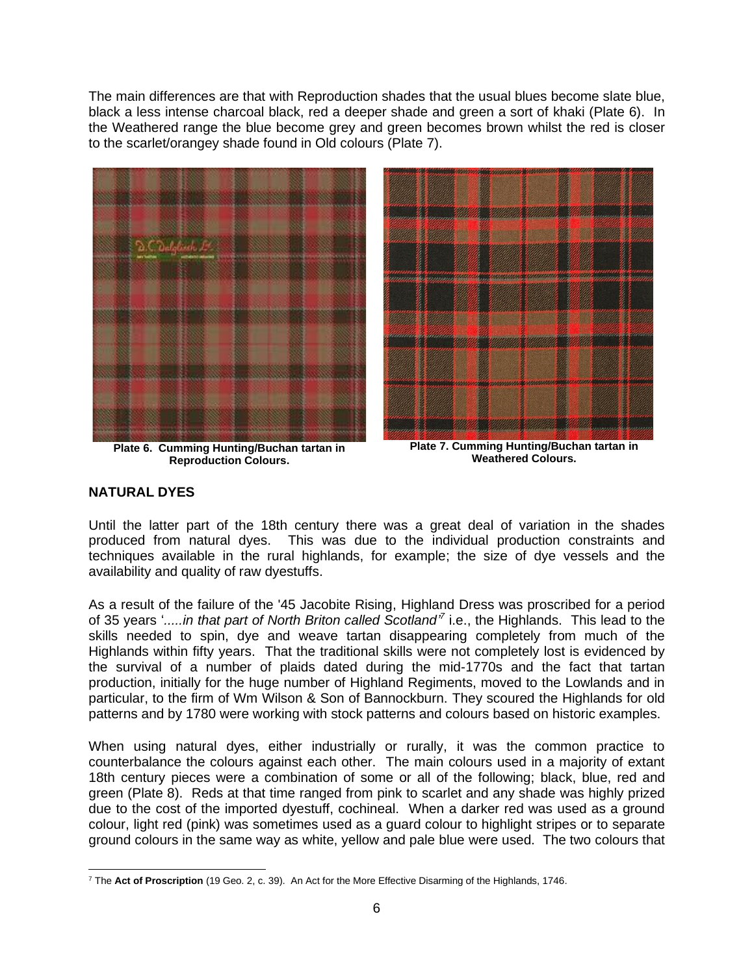The main differences are that with Reproduction shades that the usual blues become slate blue, black a less intense charcoal black, red a deeper shade and green a sort of khaki (Plate 6). In the Weathered range the blue become grey and green becomes brown whilst the red is closer to the scarlet/orangey shade found in Old colours (Plate 7).



**Plate 6. Cumming Hunting/Buchan tartan in Reproduction Colours.**

**Plate 7. Cumming Hunting/Buchan tartan in Weathered Colours.**

## **NATURAL DYES**

Until the latter part of the 18th century there was a great deal of variation in the shades produced from natural dyes. This was due to the individual production constraints and techniques available in the rural highlands, for example; the size of dye vessels and the availability and quality of raw dyestuffs.

As a result of the failure of the '45 Jacobite Rising, Highland Dress was proscribed for a period of 35 years '.....in that part of North Briton called Scotland<sup>"</sup> i.e., the Highlands. This lead to the skills needed to spin, dye and weave tartan disappearing completely from much of the Highlands within fifty years. That the traditional skills were not completely lost is evidenced by the survival of a number of plaids dated during the mid-1770s and the fact that tartan production, initially for the huge number of Highland Regiments, moved to the Lowlands and in particular, to the firm of Wm Wilson & Son of Bannockburn. They scoured the Highlands for old patterns and by 1780 were working with stock patterns and colours based on historic examples.

When using natural dyes, either industrially or rurally, it was the common practice to counterbalance the colours against each other. The main colours used in a majority of extant 18th century pieces were a combination of some or all of the following; black, blue, red and green (Plate 8). Reds at that time ranged from pink to scarlet and any shade was highly prized due to the cost of the imported dyestuff, cochineal. When a darker red was used as a ground colour, light red (pink) was sometimes used as a guard colour to highlight stripes or to separate ground colours in the same way as white, yellow and pale blue were used. The two colours that

<sup>7</sup> The **Act of Proscription** (19 Geo. 2, c. 39). An Act for the More Effective Disarming of the Highlands, 1746.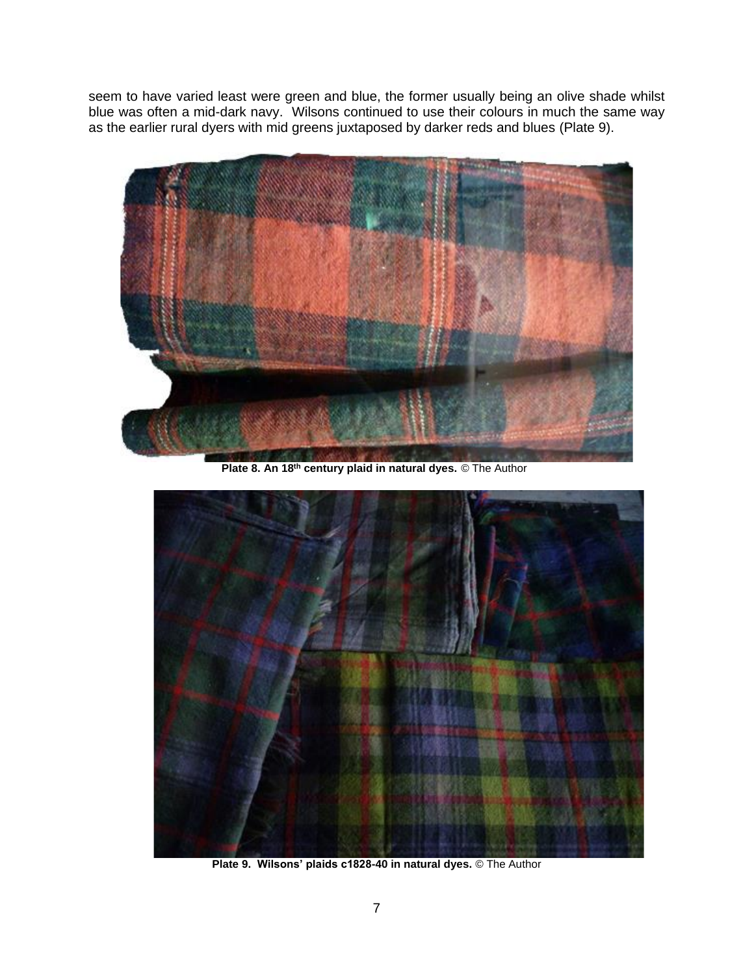seem to have varied least were green and blue, the former usually being an olive shade whilst blue was often a mid-dark navy. Wilsons continued to use their colours in much the same way as the earlier rural dyers with mid greens juxtaposed by darker reds and blues (Plate 9).



**Plate 8. An 18th century plaid in natural dyes.** © The Author



**Plate 9. Wilsons' plaids c1828-40 in natural dyes.** © The Author